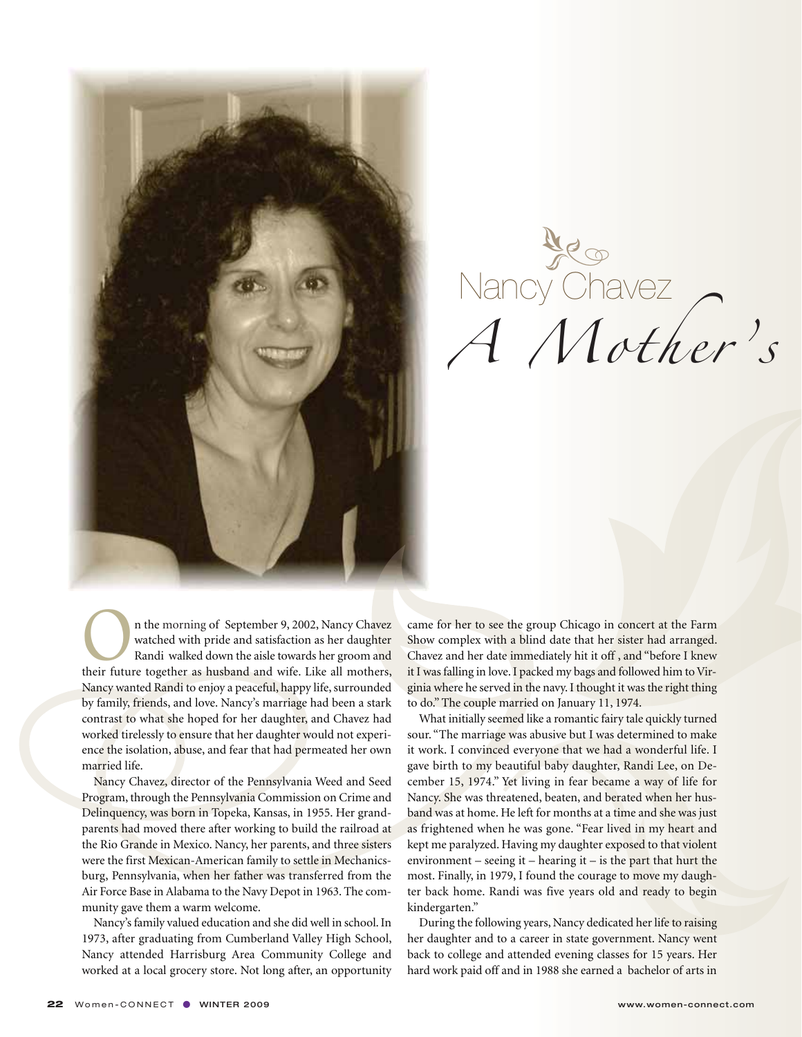

Nancy Chavez<br>A Mother's

n the morning of September 9, 2002, Nancy Chavez watched with pride and satisfaction as her daughter Randi walked down the aisle towards her groom and their future together as husband and wife. Like all mothers, Nancy wanted Randi to enjoy a peaceful, happy life, surrounded by family, friends, and love. Nancy's marriage had been a stark contrast to what she hoped for her daughter, and Chavez had worked tirelessly to ensure that her daughter would not experience the isolation, abuse, and fear that had permeated her own married life.

Nancy Chavez, director of the Pennsylvania Weed and Seed Program, through the Pennsylvania Commission on Crime and Delinquency, was born in Topeka, Kansas, in 1955. Her grandparents had moved there after working to build the railroad at the Rio Grande in Mexico. Nancy, her parents, and three sisters were the first Mexican-American family to settle in Mechanicsburg, Pennsylvania, when her father was transferred from the Air Force Base in Alabama to the Navy Depot in 1963. The community gave them a warm welcome.

Nancy's family valued education and she did well in school. In 1973, after graduating from Cumberland Valley High School, Nancy attended Harrisburg Area Community College and worked at a local grocery store. Not long after, an opportunity

came for her to see the group Chicago in concert at the Farm Show complex with a blind date that her sister had arranged. Chavez and her date immediately hit it off , and "before I knew it I was falling in love. I packed my bags and followed him to Virginia where he served in the navy. I thought it was the right thing to do." The couple married on January 11, 1974.

What initially seemed like a romantic fairy tale quickly turned sour. "The marriage was abusive but I was determined to make it work. I convinced everyone that we had a wonderful life. I gave birth to my beautiful baby daughter, Randi Lee, on December 15, 1974." Yet living in fear became a way of life for Nancy. She was threatened, beaten, and berated when her husband was at home. He left for months at a time and she was just as frightened when he was gone. "Fear lived in my heart and kept me paralyzed. Having my daughter exposed to that violent environment – seeing it – hearing it – is the part that hurt the most. Finally, in 1979, I found the courage to move my daughter back home. Randi was five years old and ready to begin kindergarten."

During the following years, Nancy dedicated her life to raising her daughter and to a career in state government. Nancy went back to college and attended evening classes for 15 years. Her hard work paid off and in 1988 she earned a bachelor of arts in